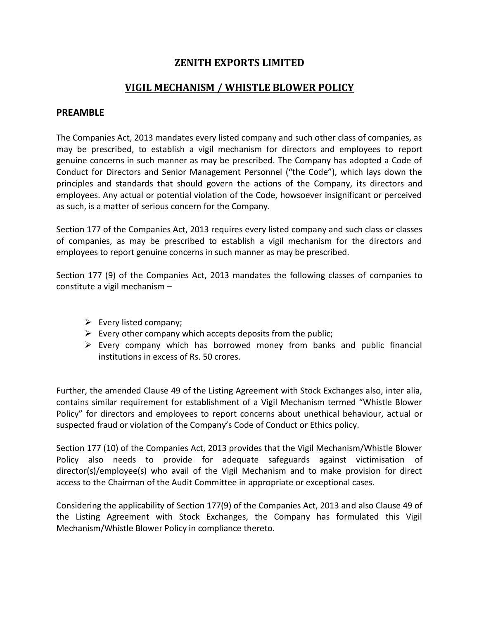### **ZENITH EXPORTS LIMITED**

# **VIGIL MECHANISM / WHISTLE BLOWER POLICY**

#### **PREAMBLE**

The Companies Act, 2013 mandates every listed company and such other class of companies, as may be prescribed, to establish a vigil mechanism for directors and employees to report genuine concerns in such manner as may be prescribed. The Company has adopted a Code of Conduct for Directors and Senior Management Personnel ("the Code"), which lays down the principles and standards that should govern the actions of the Company, its directors and employees. Any actual or potential violation of the Code, howsoever insignificant or perceived as such, is a matter of serious concern for the Company.

Section 177 of the Companies Act, 2013 requires every listed company and such class or classes of companies, as may be prescribed to establish a vigil mechanism for the directors and employees to report genuine concerns in such manner as may be prescribed.

Section 177 (9) of the Companies Act, 2013 mandates the following classes of companies to constitute a vigil mechanism –

- $\triangleright$  Every listed company;
- $\triangleright$  Every other company which accepts deposits from the public;
- $\triangleright$  Every company which has borrowed money from banks and public financial institutions in excess of Rs. 50 crores.

Further, the amended Clause 49 of the Listing Agreement with Stock Exchanges also, inter alia, contains similar requirement for establishment of a Vigil Mechanism termed "Whistle Blower Policy" for directors and employees to report concerns about unethical behaviour, actual or suspected fraud or violation of the Company's Code of Conduct or Ethics policy.

Section 177 (10) of the Companies Act, 2013 provides that the Vigil Mechanism/Whistle Blower Policy also needs to provide for adequate safeguards against victimisation of director(s)/employee(s) who avail of the Vigil Mechanism and to make provision for direct access to the Chairman of the Audit Committee in appropriate or exceptional cases.

Considering the applicability of Section 177(9) of the Companies Act, 2013 and also Clause 49 of the Listing Agreement with Stock Exchanges, the Company has formulated this Vigil Mechanism/Whistle Blower Policy in compliance thereto.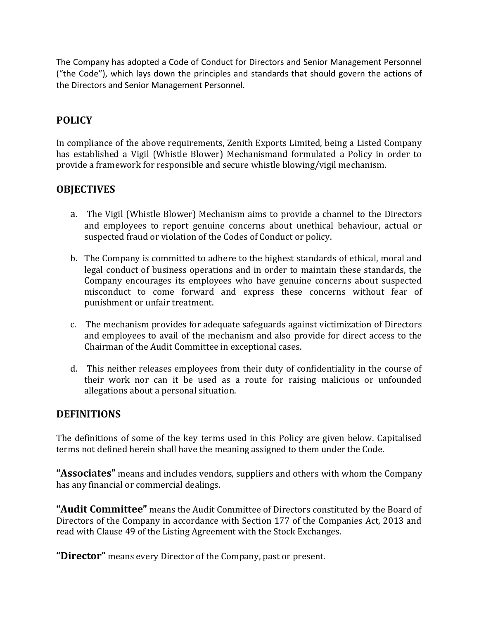The Company has adopted a Code of Conduct for Directors and Senior Management Personnel ("the Code"), which lays down the principles and standards that should govern the actions of the Directors and Senior Management Personnel.

# **POLICY**

In compliance of the above requirements, Zenith Exports Limited, being a Listed Company has established a Vigil (Whistle Blower) Mechanismand formulated a Policy in order to provide a framework for responsible and secure whistle blowing/vigil mechanism.

# **OBJECTIVES**

- a. The Vigil (Whistle Blower) Mechanism aims to provide a channel to the Directors and employees to report genuine concerns about unethical behaviour, actual or suspected fraud or violation of the Codes of Conduct or policy.
- b. The Company is committed to adhere to the highest standards of ethical, moral and legal conduct of business operations and in order to maintain these standards, the Company encourages its employees who have genuine concerns about suspected misconduct to come forward and express these concerns without fear of punishment or unfair treatment.
- c. The mechanism provides for adequate safeguards against victimization of Directors and employees to avail of the mechanism and also provide for direct access to the Chairman of the Audit Committee in exceptional cases.
- d. This neither releases employees from their duty of confidentiality in the course of their work nor can it be used as a route for raising malicious or unfounded allegations about a personal situation.

### **DEFINITIONS**

The definitions of some of the key terms used in this Policy are given below. Capitalised terms not defined herein shall have the meaning assigned to them under the Code.

**"Associates"** means and includes vendors, suppliers and others with whom the Company has any financial or commercial dealings.

**"Audit Committee"** means the Audit Committee of Directors constituted by the Board of Directors of the Company in accordance with Section 177 of the Companies Act, 2013 and read with Clause 49 of the Listing Agreement with the Stock Exchanges.

**"Director"** means every Director of the Company, past or present.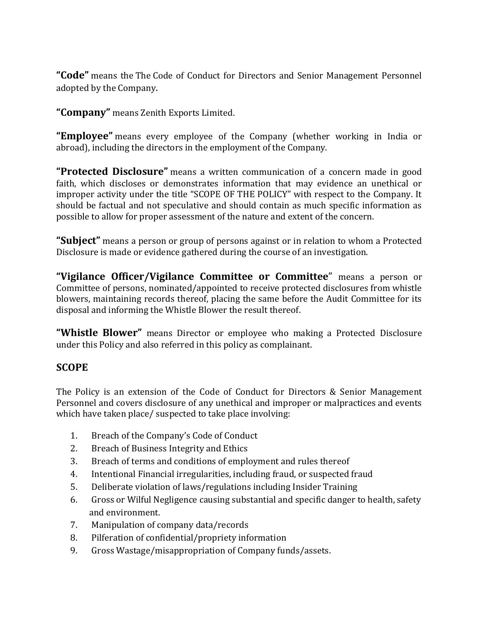**"Code"** means the The Code of Conduct for Directors and Senior Management Personnel adopted by the Company.

**"Company"** means Zenith Exports Limited.

**"Employee"** means every employee of the Company (whether working in India or abroad), including the directors in the employment of the Company.

**"Protected Disclosure"** means a written communication of a concern made in good faith, which discloses or demonstrates information that may evidence an unethical or improper activity under the title "SCOPE OF THE POLICY" with respect to the Company. It should be factual and not speculative and should contain as much specific information as possible to allow for proper assessment of the nature and extent of the concern.

**"Subject"** means a person or group of persons against or in relation to whom a Protected Disclosure is made or evidence gathered during the course of an investigation.

**"Vigilance Officer/Vigilance Committee or Committee**" means a person or Committee of persons, nominated/appointed to receive protected disclosures from whistle blowers, maintaining records thereof, placing the same before the Audit Committee for its disposal and informing the Whistle Blower the result thereof.

**"Whistle Blower"** means Director or employee who making a Protected Disclosure under this Policy and also referred in this policy as complainant.

### **SCOPE**

The Policy is an extension of the Code of Conduct for Directors & Senior Management Personnel and covers disclosure of any unethical and improper or malpractices and events which have taken place/ suspected to take place involving:

- 1. Breach of the Company's Code of Conduct
- 2. Breach of Business Integrity and Ethics
- 3. Breach of terms and conditions of employment and rules thereof
- 4. Intentional Financial irregularities, including fraud, or suspected fraud
- 5. Deliberate violation of laws/regulations including Insider Training
- 6. Gross or Wilful Negligence causing substantial and specific danger to health, safety and environment.
- 7. Manipulation of company data/records
- 8. Pilferation of confidential/propriety information
- 9. Gross Wastage/misappropriation of Company funds/assets.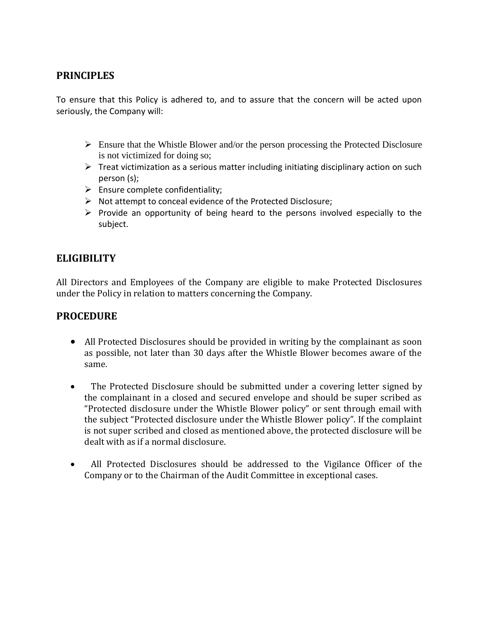# **PRINCIPLES**

To ensure that this Policy is adhered to, and to assure that the concern will be acted upon seriously, the Company will:

- $\triangleright$  Ensure that the Whistle Blower and/or the person processing the Protected Disclosure is not victimized for doing so;
- $\triangleright$  Treat victimization as a serious matter including initiating disciplinary action on such person (s);
- $\triangleright$  Ensure complete confidentiality;
- $\triangleright$  Not attempt to conceal evidence of the Protected Disclosure;
- $\triangleright$  Provide an opportunity of being heard to the persons involved especially to the subject.

# **ELIGIBILITY**

All Directors and Employees of the Company are eligible to make Protected Disclosures under the Policy in relation to matters concerning the Company.

# **PROCEDURE**

- All Protected Disclosures should be provided in writing by the complainant as soon as possible, not later than 30 days after the Whistle Blower becomes aware of the same.
- The Protected Disclosure should be submitted under a covering letter signed by the complainant in a closed and secured envelope and should be super scribed as "Protected disclosure under the Whistle Blower policy" or sent through email with the subject "Protected disclosure under the Whistle Blower policy". If the complaint is not super scribed and closed as mentioned above, the protected disclosure will be dealt with as if a normal disclosure.
- All Protected Disclosures should be addressed to the Vigilance Officer of the Company or to the Chairman of the Audit Committee in exceptional cases.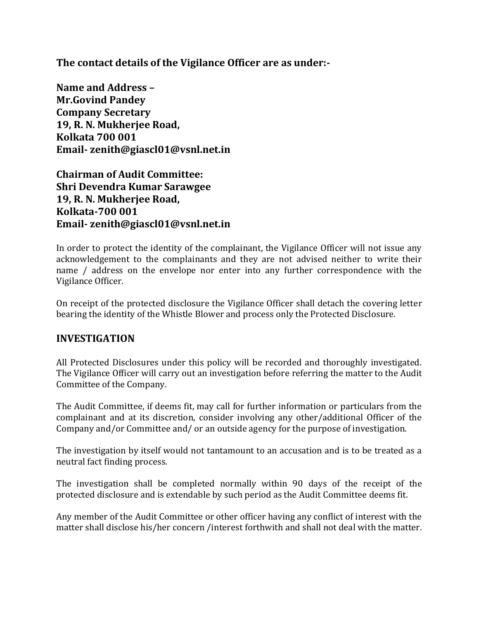**The contact details of the Vigilance Officer are as under:-**

**Name and Address – Mr.Govind Pandey Company Secretary 19, R. N. Mukherjee Road, Kolkata 700 001 Email- zenith@giascl01@vsnl.net.in**

**Chairman of Audit Committee: Shri Devendra Kumar Sarawgee 19, R. N. Mukherjee Road, Kolkata-700 001 Email- zenith@giascl01@vsnl.net.in**

In order to protect the identity of the complainant, the Vigilance Officer will not issue any acknowledgement to the complainants and they are not advised neither to write their name / address on the envelope nor enter into any further correspondence with the Vigilance Officer.

On receipt of the protected disclosure the Vigilance Officer shall detach the covering letter bearing the identity of the Whistle Blower and process only the Protected Disclosure.

### **INVESTIGATION**

All Protected Disclosures under this policy will be recorded and thoroughly investigated. The Vigilance Officer will carry out an investigation before referring the matter to the Audit Committee of the Company.

The Audit Committee, if deems fit, may call for further information or particulars from the complainant and at its discretion, consider involving any other/additional Officer of the Company and/or Committee and/ or an outside agency for the purpose of investigation.

The investigation by itself would not tantamount to an accusation and is to be treated as a neutral fact finding process.

The investigation shall be completed normally within 90 days of the receipt of the protected disclosure and is extendable by such period as the Audit Committee deems fit.

Any member of the Audit Committee or other officer having any conflict of interest with the matter shall disclose his/her concern /interest forthwith and shall not deal with the matter.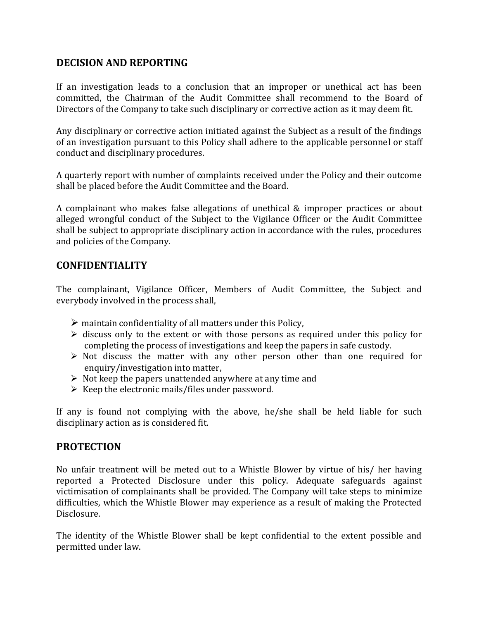# **DECISION AND REPORTING**

If an investigation leads to a conclusion that an improper or unethical act has been committed, the Chairman of the Audit Committee shall recommend to the Board of Directors of the Company to take such disciplinary or corrective action as it may deem fit.

Any disciplinary or corrective action initiated against the Subject as a result of the findings of an investigation pursuant to this Policy shall adhere to the applicable personnel or staff conduct and disciplinary procedures.

A quarterly report with number of complaints received under the Policy and their outcome shall be placed before the Audit Committee and the Board.

A complainant who makes false allegations of unethical & improper practices or about alleged wrongful conduct of the Subject to the Vigilance Officer or the Audit Committee shall be subject to appropriate disciplinary action in accordance with the rules, procedures and policies of the Company.

### **CONFIDENTIALITY**

The complainant, Vigilance Officer, Members of Audit Committee, the Subject and everybody involved in the process shall,

- $\triangleright$  maintain confidentiality of all matters under this Policy,
- $\triangleright$  discuss only to the extent or with those persons as required under this policy for completing the process of investigations and keep the papers in safe custody.
- $\triangleright$  Not discuss the matter with any other person other than one required for enquiry/investigation into matter,
- $\triangleright$  Not keep the papers unattended anywhere at any time and
- $\triangleright$  Keep the electronic mails/files under password.

If any is found not complying with the above, he/she shall be held liable for such disciplinary action as is considered fit.

### **PROTECTION**

No unfair treatment will be meted out to a Whistle Blower by virtue of his/ her having reported a Protected Disclosure under this policy. Adequate safeguards against victimisation of complainants shall be provided. The Company will take steps to minimize difficulties, which the Whistle Blower may experience as a result of making the Protected Disclosure.

The identity of the Whistle Blower shall be kept confidential to the extent possible and permitted under law.